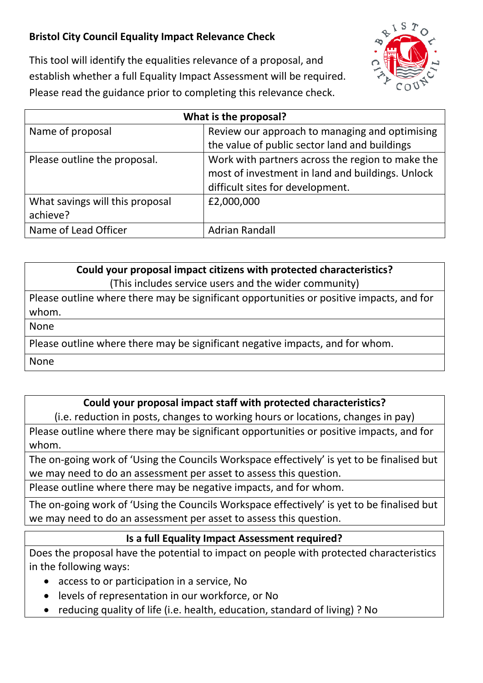## **Bristol City Council Equality Impact Relevance Check**



This tool will identify the equalities relevance of a proposal, and establish whether a full Equality Impact Assessment will be required. Please read the guidance prior to completing this relevance check.

| What is the proposal?           |                                                  |
|---------------------------------|--------------------------------------------------|
| Name of proposal                | Review our approach to managing and optimising   |
|                                 | the value of public sector land and buildings    |
| Please outline the proposal.    | Work with partners across the region to make the |
|                                 | most of investment in land and buildings. Unlock |
|                                 | difficult sites for development.                 |
| What savings will this proposal | £2,000,000                                       |
| achieve?                        |                                                  |
| Name of Lead Officer            | Adrian Randall                                   |

## **Could your proposal impact citizens with protected characteristics?**

(This includes service users and the wider community)

Please outline where there may be significant opportunities or positive impacts, and for whom.

None

Please outline where there may be significant negative impacts, and for whom.

None

## **Could your proposal impact staff with protected characteristics?**

(i.e. reduction in posts, changes to working hours or locations, changes in pay)

Please outline where there may be significant opportunities or positive impacts, and for whom.

The on-going work of 'Using the Councils Workspace effectively' is yet to be finalised but we may need to do an assessment per asset to assess this question.

Please outline where there may be negative impacts, and for whom.

The on-going work of 'Using the Councils Workspace effectively' is yet to be finalised but we may need to do an assessment per asset to assess this question.

## **Is a full Equality Impact Assessment required?**

Does the proposal have the potential to impact on people with protected characteristics in the following ways:

- access to or participation in a service, No
- levels of representation in our workforce, or No
- reducing quality of life (i.e. health, education, standard of living) ? No